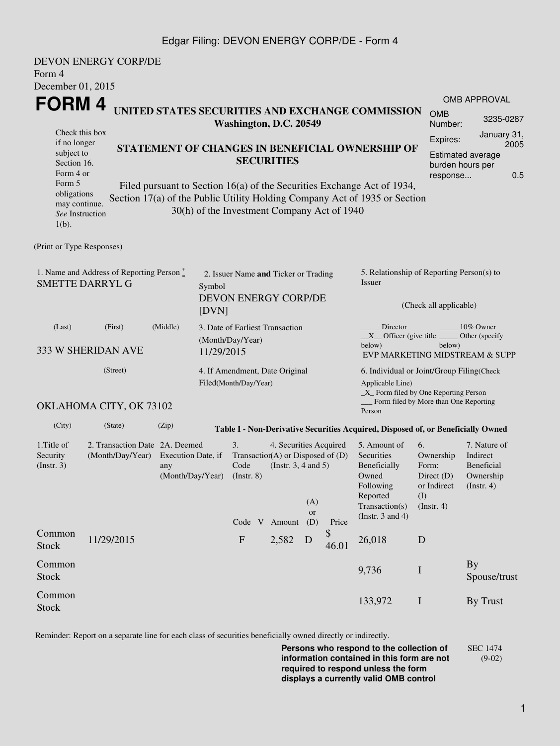## Edgar Filing: DEVON ENERGY CORP/DE - Form 4

| Form 4                                                                                                                                                                           | DEVON ENERGY CORP/DE                                                                       |                                               |                                                                                                                                                                                                                                                                                                                                                            |                                                                                                                                                                                                                                                                                                   |
|----------------------------------------------------------------------------------------------------------------------------------------------------------------------------------|--------------------------------------------------------------------------------------------|-----------------------------------------------|------------------------------------------------------------------------------------------------------------------------------------------------------------------------------------------------------------------------------------------------------------------------------------------------------------------------------------------------------------|---------------------------------------------------------------------------------------------------------------------------------------------------------------------------------------------------------------------------------------------------------------------------------------------------|
| December 01, 2015<br>FORM 4<br>Check this box<br>if no longer<br>subject to<br>Section 16.<br>Form 4 or<br>Form 5<br>obligations<br>may continue.<br>See Instruction<br>$1(b)$ . |                                                                                            |                                               | UNITED STATES SECURITIES AND EXCHANGE COMMISSION<br>Washington, D.C. 20549<br>STATEMENT OF CHANGES IN BENEFICIAL OWNERSHIP OF<br><b>SECURITIES</b><br>Filed pursuant to Section 16(a) of the Securities Exchange Act of 1934,<br>Section 17(a) of the Public Utility Holding Company Act of 1935 or Section<br>30(h) of the Investment Company Act of 1940 | <b>OMB APPROVAL</b><br><b>OMB</b><br>3235-0287<br>Number:<br>January 31,<br>Expires:<br>2005<br><b>Estimated average</b><br>burden hours per<br>0.5<br>response                                                                                                                                   |
| (Print or Type Responses)                                                                                                                                                        |                                                                                            |                                               |                                                                                                                                                                                                                                                                                                                                                            |                                                                                                                                                                                                                                                                                                   |
|                                                                                                                                                                                  | 1. Name and Address of Reporting Person $\stackrel{*}{\text{-}}$<br><b>SMETTE DARRYL G</b> | Symbol<br>[DVN]                               | 2. Issuer Name and Ticker or Trading<br>DEVON ENERGY CORP/DE                                                                                                                                                                                                                                                                                               | 5. Relationship of Reporting Person(s) to<br>Issuer<br>(Check all applicable)                                                                                                                                                                                                                     |
| (Last)                                                                                                                                                                           | (First)<br>333 W SHERIDAN AVE                                                              | (Middle)                                      | 3. Date of Earliest Transaction<br>(Month/Day/Year)<br>11/29/2015                                                                                                                                                                                                                                                                                          | Director<br>10% Owner<br>$X$ Officer (give title $\overline{\phantom{a}}$<br>Other (specify)<br>below)<br>below)<br>EVP MARKETING MIDSTREAM & SUPP                                                                                                                                                |
|                                                                                                                                                                                  | (Street)                                                                                   |                                               | 4. If Amendment, Date Original<br>Filed(Month/Day/Year)                                                                                                                                                                                                                                                                                                    | 6. Individual or Joint/Group Filing(Check<br>Applicable Line)<br>_X_ Form filed by One Reporting Person<br>Form filed by More than One Reporting                                                                                                                                                  |
|                                                                                                                                                                                  | OKLAHOMA CITY, OK 73102                                                                    |                                               |                                                                                                                                                                                                                                                                                                                                                            | Person                                                                                                                                                                                                                                                                                            |
| (City)                                                                                                                                                                           | (State)                                                                                    | (Zip)                                         | Table I - Non-Derivative Securities Acquired, Disposed of, or Beneficially Owned                                                                                                                                                                                                                                                                           |                                                                                                                                                                                                                                                                                                   |
| 1. Title of<br>Security<br>(Insert. 3)                                                                                                                                           | 2. Transaction Date 2A. Deemed<br>(Month/Day/Year)                                         | Execution Date, if<br>any<br>(Month/Day/Year) | 3.<br>4. Securities Acquired<br>Transaction(A) or Disposed of $(D)$<br>(Instr. $3, 4$ and $5$ )<br>Code<br>$($ Instr. 8 $)$<br>(A)<br><b>or</b><br>Code V Amount<br>(D)<br>Price                                                                                                                                                                           | 6.<br>7. Nature of<br>5. Amount of<br>Indirect<br><b>Securities</b><br>Ownership<br>Beneficially<br><b>Beneficial</b><br>Form:<br>Owned<br>Direct $(D)$<br>Ownership<br>Following<br>or Indirect<br>$($ Instr. 4 $)$<br>Reported<br>(I)<br>Transaction(s)<br>(Insert. 4)<br>(Instr. $3$ and $4$ ) |
| Common<br><b>Stock</b>                                                                                                                                                           | 11/29/2015                                                                                 |                                               | \$<br>$\mathbf{F}$<br>2,582<br>D<br>46.01                                                                                                                                                                                                                                                                                                                  | 26,018<br>D                                                                                                                                                                                                                                                                                       |
| Common<br>Stock                                                                                                                                                                  |                                                                                            |                                               | 9,736                                                                                                                                                                                                                                                                                                                                                      | <b>By</b><br>$\mathbf I$<br>Spouse/trust                                                                                                                                                                                                                                                          |
| Common<br><b>Stock</b>                                                                                                                                                           |                                                                                            |                                               |                                                                                                                                                                                                                                                                                                                                                            | 133,972<br>By Trust<br>$\mathbf I$                                                                                                                                                                                                                                                                |

Reminder: Report on a separate line for each class of securities beneficially owned directly or indirectly.

**Persons who respond to the collection of information contained in this form are not required to respond unless the form displays a currently valid OMB control** SEC 1474 (9-02)